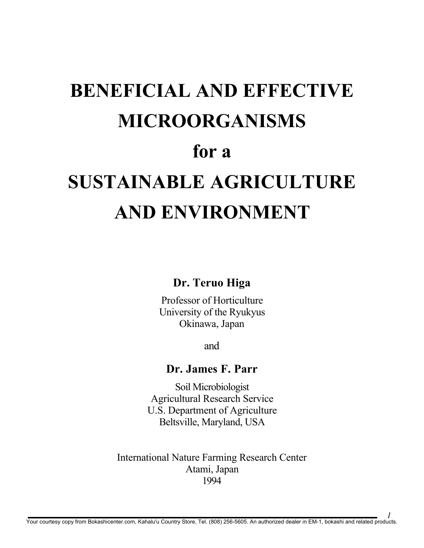# BENEFICIAL AND EFFECTIVE MICROORGANISMS for a SUSTAINABLE AGRICULTURE AND ENVIRONMENT

## Dr. Teruo Higa

Professor of Horticulture University of the Ryukyus Okinawa, Japan

and

## Dr. James F. Parr

Soil Microbiologist Agricultural Research Service U.S. Department of Agriculture Beltsville, Maryland, USA

International Nature Farming Research Center Atami, Japan 1994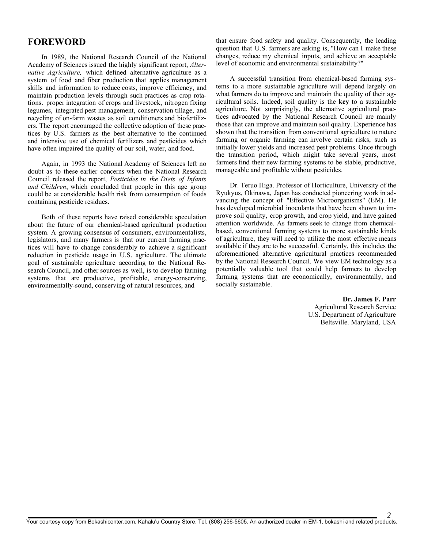#### FOREWORD

In 1989, the National Research Council of the National Academy of Sciences issued the highly significant report, *Alternative Agriculture,* which defined alternative agriculture as a system of food and fiber production that applies management skills and information to reduce costs, improve efficiency, and maintain production levels through such practices as crop rotations. proper integration of crops and livestock, nitrogen fixing legumes, integrated pest management, conservation tillage, and recycling of on-farm wastes as soil conditioners and biofertilizers. The report encouraged the collective adoption of these practices by U.S. farmers as the best alternative to the continued and intensive use of chemical fertilizers and pesticides which have often impaired the quality of our soil, water, and food.

Again, in 1993 the National Academy of Sciences left no doubt as to these earlier concerns when the National Research Council released the report, *Pesticides in the Diets of Infants and Children*, which concluded that people in this age group could be at considerable health risk from consumption of foods containing pesticide residues.

Both of these reports have raised considerable speculation about the future of our chemical-based agricultural production system. A growing consensus of consumers, environmentalists, legislators, and many farmers is that our current farming practices will have to change considerably to achieve a significant reduction in pesticide usage in U.S. agriculture. The ultimate goal of sustainable agriculture according to the National Research Council, and other sources as well, is to develop farming systems that are productive, profitable, energy-conserving, environmentally-sound, conserving of natural resources, and

that ensure food safety and quality. Consequently, the leading question that U.S. farmers are asking is, "How can I make these changes, reduce my chemical inputs, and achieve an acceptable level of economic and environmental sustainability?"

A successful transition from chemical-based farming systems to a more sustainable agriculture will depend largely on what farmers do to improve and maintain the quality of their agricultural soils. Indeed, soil quality is the key to a sustainable agriculture. Not surprisingly, the alternative agricultural practices advocated by the National Research Council are mainly those that can improve and maintain soil quality. Experience has shown that the transition from conventional agriculture to nature farming or organic farming can involve certain risks, such as initially lower yields and increased pest problems. Once through the transition period, which might take several years, most farmers find their new farming systems to be stable, productive, manageable and profitable without pesticides.

Dr. Teruo Higa. Professor of Horticulture, University of the Ryukyus, Okinawa, Japan has conducted pioneering work in advancing the concept of "Effective Microorganisms" (EM). He has developed microbial inoculants that have been shown to improve soil quality, crop growth, and crop yield, and have gained attention worldwide. As farmers seek to change from chemicalbased, conventional farming systems to more sustainable kinds of agriculture, they will need to utilize the most effective means available if they are to be successful. Certainly, this includes the aforementioned alternative agricultural practices recommended by the National Research Council. We view EM technology as a potentially valuable tool that could help farmers to develop farming systems that are economically, environmentally, and socially sustainable.

#### Dr. James F. Parr

Agricultural Research Service U.S. Department of Agriculture Beltsville. Maryland, USA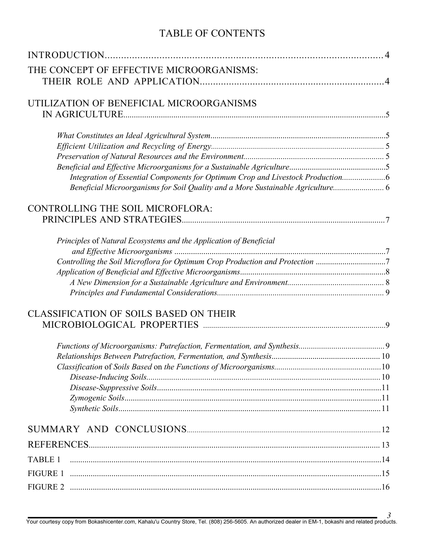# TABLE OF CONTENTS

| THE CONCEPT OF EFFECTIVE MICROORGANISMS:                                        |  |
|---------------------------------------------------------------------------------|--|
|                                                                                 |  |
|                                                                                 |  |
| UTILIZATION OF BENEFICIAL MICROORGANISMS                                        |  |
|                                                                                 |  |
|                                                                                 |  |
|                                                                                 |  |
|                                                                                 |  |
|                                                                                 |  |
| Integration of Essential Components for Optimum Crop and Livestock Production6  |  |
| Beneficial Microorganisms for Soil Quality and a More Sustainable Agriculture 6 |  |
| <b>CONTROLLING THE SOIL MICROFLORA:</b>                                         |  |
|                                                                                 |  |
|                                                                                 |  |
| Principles of Natural Ecosystems and the Application of Beneficial              |  |
|                                                                                 |  |
| Controlling the Soil Microflora for Optimum Crop Production and Protection 7    |  |
|                                                                                 |  |
|                                                                                 |  |
|                                                                                 |  |
| <b>CLASSIFICATION OF SOILS BASED ON THEIR</b>                                   |  |
|                                                                                 |  |
|                                                                                 |  |
|                                                                                 |  |
|                                                                                 |  |
|                                                                                 |  |
|                                                                                 |  |
|                                                                                 |  |
|                                                                                 |  |
|                                                                                 |  |
|                                                                                 |  |
|                                                                                 |  |
| <b>TABLE 1</b>                                                                  |  |
|                                                                                 |  |
|                                                                                 |  |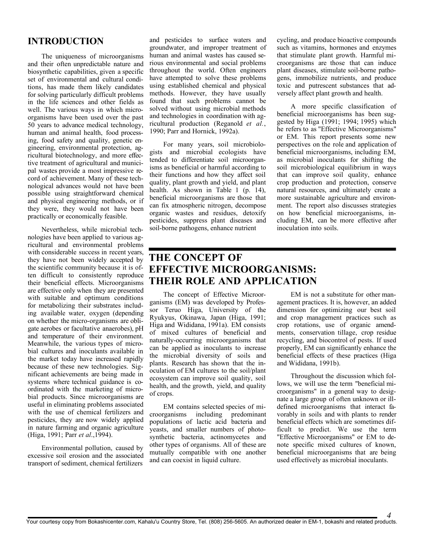#### INTRODUCTION

The uniqueness of microorganisms and their often unpredictable nature and biosynthetic capabilities, given a specific set of environmental and cultural conditions, has made them likely candidates for solving particularly difficult problems in the life sciences and other fields as well. The various ways in which microorganisms have been used over the past 50 years to advance medical technology, human and animal health, food processing, food safety and quality, genetic engineering, environmental protection, agricultural biotechnology, and more effective treatment of agricultural and municipal wastes provide a most impressive record of achievement. Many of these technological advances would not have been possible using straightforward chemical and physical engineering methods, or if they were, they would not have been practically or economically feasible.

Nevertheless, while microbial technologies have been applied to various agricultural and environmental problems with considerable success in recent years, they have not been widely accepted by the scientific community because it is often difficult to consistently reproduce their beneficial effects. Microorganisms are effective only when they are presented with suitable and optimum conditions for metabolizing their substrates including available water, oxygen (depending on whether the micro-organisms are obligate aerobes or facultative anaerobes), pH and temperature of their environment. Meanwhile, the various types of microbial cultures and inoculants available in the market today have increased rapidly because of these new technologies. Significant achievements are being made in systems where technical guidance is coordinated with the marketing of microbial products. Since microorganisms are useful in eliminating problems associated with the use of chemical fertilizers and pesticides, they are now widely applied in nature farming and organic agriculture (Higa, 1991; Parr *et al*.,1994).

Environmental pollution, caused by excessive soil erosion and the associated transport of sediment, chemical fertilizers

and pesticides to surface waters and groundwater, and improper treatment of human and animal wastes has caused serious environmental and social problems throughout the world. Often engineers have attempted to solve these problems using established chemical and physical methods. However, they have usually found that such problems cannot be solved without using microbial methods and technologies in coordination with agricultural production (Reganold *et al.*, 1990; Parr and Hornick, 1992a).

For many years, soil microbiologists and microbial ecologists have tended to differentiate soil microorganisms as beneficial or harmful according to their functions and how they affect soil quality, plant growth and yield, and plant health. As shown in Table 1 (p. 14), beneficial microorganisms are those that can fix atmospheric nitrogen, decompose organic wastes and residues, detoxify pesticides, suppress plant diseases and soil-borne pathogens, enhance nutrient

cycling, and produce bioactive compounds such as vitamins, hormones and enzymes that stimulate plant growth. Harmful microorganisms are those that can induce plant diseases, stimulate soil-borne pathogens, immobilize nutrients, and produce toxic and putrescent substances that adversely affect plant growth and health.

A more specific classification of beneficial microorganisms has been suggested by Higa (1991; 1994; 1995) which he refers to as "Effective Microorganisms" or EM. This report presents some new perspectives on the role and application of beneficial microorganisms, including EM, as microbial inoculants for shifting the soil microbiological equilibrium in ways that can improve soil quality, enhance crop production and protection, conserve natural resources, and ultimately create a more sustainable agriculture and environment. The report also discusses strategies on how beneficial microorganisms, including EM, can be more effective after inoculation into soils.

#### THE CONCEPT OF EFFECTIVE MICROORGANISMS: THEIR ROLE AND APPLICATION

The concept of Effective Microorganisms (EM) was developed by Professor Teruo Higa, University of the Ryukyus, Okinawa, Japan (Higa, 1991; Higa and Wididana, 1991a). EM consists of mixed cultures of beneficial and naturally-occurring microorganisms that can be applied as inoculants to increase the microbial diversity of soils and plants. Research has shown that the inoculation of EM cultures to the soil/plant ecosystem can improve soil quality, soil health, and the growth, yield, and quality of crops.

EM contains selected species of microorganisms including predominant populations of lactic acid bacteria and yeasts, and smaller numbers of photosynthetic bacteria, actinomycetes and other types of organisms. All of these are mutually compatible with one another and can coexist in liquid culture.

EM is not a substitute for other management practices. It is, however, an added dimension for optimizing our best soil and crop management practices such as crop rotations, use of organic amendments, conservation tillage, crop residue recycling, and biocontrol of pests. If used properly, EM can significantly enhance the beneficial effects of these practices (Higa and Wididana, 1991b).

Throughout the discussion which follows, we will use the term "beneficial microorganisms" in a general way to designate a large group of often unknown or illdefined microorganisms that interact favorably in soils and with plants to render beneficial effects which are sometimes difficult to predict. We use the term "Effective Microorganisms" or EM to denote specific mixed cultures of known, beneficial microorganisms that are being used effectively as microbial inoculants.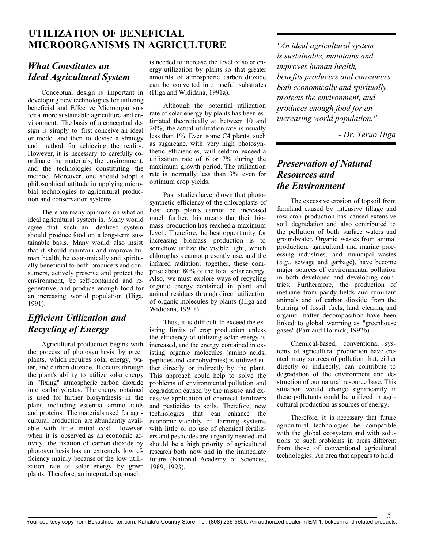## UTILIZATION OF BENEFICIAL MICROORGANISMS IN AGRICULTURE

## *What Constitutes an Ideal Agricultural System*

Conceptual design is important in developing new technologies for utilizing beneficial and Effective Microorganisms for a more sustainable agriculture and environment. The basis of a conceptual design is simply to first conceive an ideal or model and then to devise a strategy and method for achieving the reality. However, it is necessary to carefully coordinate the materials, the environment, and the technologies constituting the method. Moreover, one should adopt a philosophical attitude in applying microbial technologies to agricultural production and conservation systems.

There are many opinions on what an ideal agricultural system is. Many would agree that such an idealized system should produce food on a long-term sustainable basis. Many would also insist that it should maintain and improve human health, be economically and spiritually beneficial to both producers and consumers, actively preserve and protect the environment, be self-contained and regenerative, and produce enough food for an increasing wor1d population (Higa, 1991).

## *Efficient Utilization and Recycling of Energy*

Agricultural production begins with the process of photosynthesis by green plants, which requires solar energy, water, and carbon dioxide. It occurs through the plant's ability to utilize solar energy in "fixing" atmospheric carbon dioxide into carbohydrates. The energy obtained is used for further biosynthesis in the plant, inc1uding essential amino acids and proteins. The materials used for agricultural production are abundantly available with little initial cost. However, when it is observed as an economic activity, the fixation of carbon dioxide by photosynthesis has an extremely low efficiency mainly because of the low utilization rate of solar energy by green plants. Therefore, an integrated approach

is needed to increase the level of solar energy utilization by plants so that greater amounts of atmospheric carbon dioxide can be converted into useful substrates (Higa and Wididana, 1991a).

Although the potential utilization rate of solar energy by plants has been estimated theoretically at between 10 and 20%, the actual utilization rate is usually less than 1%. Even some C4 plants, such as sugarcane, with very high photosynthetic efficiencies, will seldom exceed a utilization rate of 6 or 7% during the maximum growth period. The utilization rate is normally less than 3% even for optimum crop yields.

Past studies have shown that photosynthetic efficiency of the chloroplasts of host crop plants cannot be increased much further; this means that their biomass production has reached a maximum leve1. Therefore, the best opportunity for increasing biomass production is to somehow utilize the visible light, which chloroplasts cannot presently use, and the infrared radiation; together, these comprise about 80% of the total solar energy. Also, we must explore ways of recycling organic energy contained in plant and animal residues through direct utilization of organic molecules by plants (Higa and Wididana, 1991a).

Thus, it is difficult to exceed the existing limits of crop production unless the efficiency of utilizing solar energy is increased, and the energy contained in existing organic molecules (amino acids, peptides and carbohydrates) is utilized either directly or indirectly by the plant. This approach could help to solve the problems of environmental pollution and degradation caused by the misuse and excessive application of chemical fertilizers and pesticides to soils. Therefore, new technologies that can enhance the economic-viability of farming systems with little or no use of chemical fertilizers and pesticides are urgently needed and should be a high priority of agricultural research both now and in the immediate future (National Academy of Sciences, 1989, 1993).

*"An ideal agricultural system is sustainable, maintains and improves human health, benefits producers and consumers both economically and spiritually, protects the environment, and produces enough food for an increasing world population."*

*- Dr. Teruo Higa*

## *Preservation of Natural Resources and the Environment*

The excessive erosion of topsoil from farmland caused by intensive tillage and row-crop production has caused extensive soil degradation and also contributed to the pollution of both surface waters and groundwater. Organic wastes from animal production, agricultural and marine processing industries, and municipal wastes (*e.g.*, sewage and garbage), have become major sources of environmental pollution in both developed and developing countries. Furthermore, the production of methane from paddy fields and ruminant animals and of carbon dioxide from the burning of fossil fuels, land clearing and organic matter decomposition have been linked to global warming as "greenhouse gases" (Parr and Hornick, 1992b).

Chemical-based, conventional systems of agricultural production have created many sources of pollution that, either directly or indirectly, can contribute to degradation of the environment and destruction of our natural resource base. This situation would change significantly if these pollutants could be utilized in agricultural production as sources of energy.

Therefore, it is necessary that future agricultural technologies be compatible with the global ecosystem and with solutions to such problems in areas different from those of conventional agricultural technologies. An area that appears to hold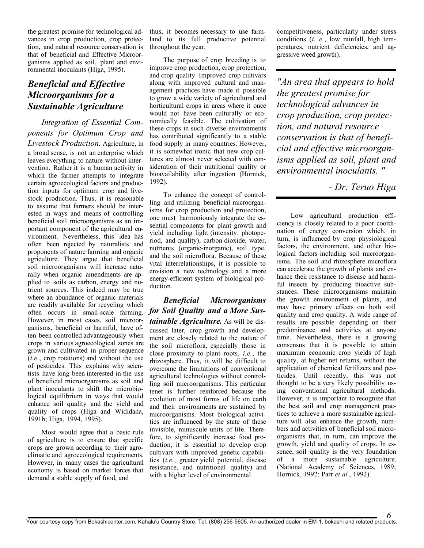the greatest promise for technological advances in crop production, crop protection, and natural resource conservation is that of beneficial and Effective Microorganisms applied as soil, plant and environmental inoculants (Higa, 1995).

#### *Beneficial and Effective Microorganisms for a Sustainable Agriculture*

*Integration of Essential Components for Optimum Crop and Livestock Production.* Agriculture, in

a broad sense, is not an enterprise which leaves everything to nature without intervention. Rather it is a human activity in which the farmer attempts to integrate certain agroecological factors and production inputs for optimum crop and livestock production. Thus, it is reasonable to assume that farmers should be interested in ways and means of controlling beneficial soil microorganisms as an important component of the agricultural environment. Nevertheless, this idea has often been rejected by naturalists and proponents of nature farming and organic agriculture. They argue that beneficial soil microorganisms will increase naturally when organic amendments are applied to soils as carbon, energy and nutrient sources. This indeed may be true where an abundance of organic materials are readily available for recycling which often occurs in small-scale farming. *for Soil Quality and a More Sus-*However, in most cases, soil microorganisms, beneficial or harmful, have often been controlled advantageously when crops in various agroecological zones are grown and cultivated in proper sequence (*i.e.*, crop rotations) and without the use of pesticides. This explains why scientists have long been interested in the use of beneficial microorganisms as soil and plant inoculants to shift the microbiological equilibrium in ways that would enhance soil quality and the yield and quality of crops (Higa and Wididana, 1991b; Higa, 1994, 1995).

Most would agree that a basic rule of agriculture is to ensure that specific crops are grown according to their agroclimatic and agroecological requirements. However, in many cases the agricultural economy is based on market forces that demand a stable supply of food, and

thus, it becomes necessary to use farmland to its full productive potential throughout the year.

The purpose of crop breeding is to improve crop production, crop protection, and crop quality. Improved crop cultivars along with improved cultural and management practices have made it possible to grow a wide variety of agricultural and horticultural crops in areas where it once would not have been culturally or economically feasible. The cultivation of these crops in such diverse environments has contributed significantly to a stable food supply in many countries. However, it is somewhat ironic that new crop cultures are almost never selected with consideration of their nutritional quality or bioavailability after ingestion (Hornick, 1992).

To enhance the concept of controlling and utilizing beneficial microorganisms for crop production and protection, one must harmoniously integrate the essential components for plant growth and yield including light (intensity. photoperiod, and quality), carbon dioxide, water, nutrients (organic-inorganic), soil type, and the soil microflora. Because of these vital interrelationships, it is possible to envision a new technology and a more energy-efficient system of biological production.

*Beneficial Microorganisms tainable Agriculture.* As will be discussed later, crop growth and development are closely related to the nature of the soil microflora, especially those in close proximity to plant roots, *i.e.*, the rhizosphere. Thus, it will be difficult to overcome the limitations of conventional agricultural technologies without controlling soil microorganisms. This particular tenet is further reinforced because the evolution of most forms of life on earth and their environments are sustained by microorganisms. Most biological activities are influenced by the state of these invisible, minuscule units of life. Therefore, to significantly increase food production, it is essential to develop crop cultivars with improved genetic capabilities (*i.e.*, greater yield potential, disease resistance, and nutritional quality) and with a higher level of environmental

competitiveness, particularly under stress conditions (*i. e.*, low rainfall, high temperatures, nutrient deficiencies, and aggressive weed growth).

*"An area that appears to hold the greatest promise for technological advances in crop production, crop protection, and natural resource conservation is that of beneficial and effective microorganisms applied as soil, plant and environmental inoculants. "*

*- Dr. Teruo Higa*

Low agricultural production efficiency is closely related to a poor coordination of energy conversion which, in turn, is influenced by crop physiological factors, the environment, and other biological factors including soil microorganisms. The soil and rhizosphere microflora can accelerate the growth of plants and enhance their resistance to disease and harmful insects by producing bioactive substances. These microorganisms maintain the growth environment of plants, and may have primary effects on both soil quality and crop quality. A wide range of results are possible depending on their predominance and activities at anyone time. Nevertheless, there is a growing consensus that it is possible to attain maximum economic crop yields of high quality, at higher net returns, without the application of chemical fertilizers and pesticides. Until recently, this was not thought to be a very likely possibility using conventional agricultural methods. However, it is important to recognize that the best soil and crop management practices to achieve a more sustainable agriculture will also enhance the growth, numbers and activities of beneficial soil microorganisms that, in turn, can improve the growth, yield and quality of crops. In essence, soil quality is the very foundation of a more sustainable agriculture. (National Academy of Sciences, 1989; Hornick, 1992; Parr *et al.*, 1992).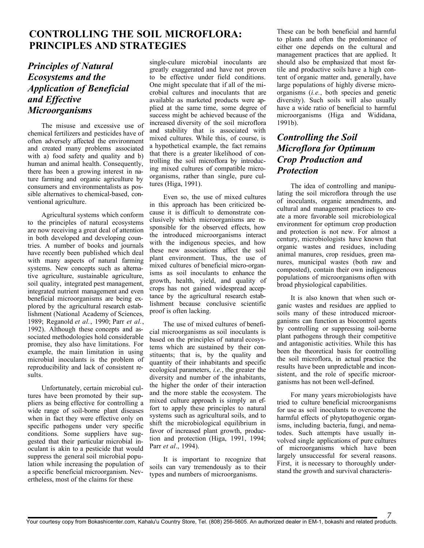## CONTROLLING THE SOIL MICROFLORA: PRINCIPLES AND STRATEGIES

## *Principles of Natural Ecosystems and the Application of Beneficial and Effective Microorganisms*

The misuse and excessive use of chemical fertilizers and pesticides have of often adversely affected the environment and created many problems associated with a) food safety and quality and b) human and animal health. Consequently, there has been a growing interest in nature farming and organic agriculture by consumers and environmentalists as possible alternatives to chemical-based, conventional agriculture.

Agricultural systems which conform to the principles of natural ecosystems are now receiving a great deal of attention in both developed and developing countries. A number of books and journals have recently been published which deal with many aspects of natural farming systems. New concepts such as alternative agriculture, sustainable agriculture, soil quality, integrated pest management, integrated nutrient management and even beneficial microorganisms are being explored by the agricultural research establishment (National Academy of Sciences, 1989; Reganold *et al.*, 1990; Parr *et al.*, 1992). Although these concepts and associated methodologies hold considerable promise, they also have limitations. For example, the main limitation in using microbial inoculants is the problem of reproducibility and lack of consistent results.

Unfortunately, certain microbial cultures have been promoted by their suppliers as being effective for controlling a wide range of soil-borne plant diseases when in fact they were effective only on specific pathogens under very specific conditions. Some suppliers have suggested that their particular microbial inoculant is akin to a pesticide that would suppress the general soil microbial population while increasing the population of a specific beneficial microorganism. Nevertheless, most of the claims for these

single-culure microbial inoculants are greatly exaggerated and have not proven to be effective under field conditions. One might speculate that if all of the microbial cultures and inoculants that are available as marketed products were applied at the same time, some degree of success might be achieved because of the increased diversity of the soil microflora and stability that is associated with mixed cultures. While this, of course, is a hypothetical example, the fact remains that there is a greater likelihood of controlling the soil microflora by introducing mixed cultures of compatible microorganisms, rather than single, pure cultures (Higa, 1991).

Even so, the use of mixed cultures in this approach has been criticized because it is difficult to demonstrate conclusively which microorganisms are responsible for the observed effects, how the introduced microorganisms interact with the indigenous species, and how these new associations affect the soil plant environment. Thus, the use of mixed cultures of beneficial micro-organisms as soil inoculants to enhance the growth, health, yield, and quality of crops has not gained widespread acceptance by the agricultural research establishment because conclusive scientific proof is often lacking.

The use of mixed cultures of beneficial microorganisms as soil inoculants is based on the principles of natural ecosystems which are sustained by their constituents; that is, by the quality and quantity of their inhabitants and specific ecological parameters, *i.e.*, the greater the diversity and number of the inhabitants, the higher the order of their interaction and the more stable the ecosystem. The mixed culture approach is simply an effort to apply these principles to natural systems such as agricultural soils, and to shift the microbiological equilibrium in favor of increased plant growth, production and protection (Higa, 1991, 1994; Parr *et al*., 1994).

It is important to recognize that soils can vary tremendously as to their types and numbers of microorganisms.

These can be both beneficial and harmful to plants and often the predominance of either one depends on the cultural and management practices that are applied. It should also be emphasized that most fertile and productive soils have a high content of organic matter and, generally, have large populations of highly diverse microorganisms (*i.e.*, both species and genetic diversity). Such soils will also usually have a wide ratio of beneficial to harmful microorganisms (Higa and Wididana, 1991b).

#### *Controlling the Soil Microflora for Optimum Crop Production and Protection*

The idea of controlling and manipulating the soil microflora through the use of inoculants, organic amendments, and cultural and management practices to create a more favorable soil microbiological environment for optimum crop production and protection is not new. For almost a century, microbiologists have known that organic wastes and residues, including animal manures, crop residues, green manures, municipal wastes (both raw and composted), contain their own indigenous populations of microorganisms often with broad physiological capabilities.

It is also known that when such organic wastes and residues are applied to soils many of these introduced microorganisms can function as biocontrol agents by controlling or suppressing soil-borne plant pathogens through their competitive and antagonistic activities. While this has been the theoretical basis for controlling the soil microflora, in actual practice the results have been unpredictable and inconsistent, and the role of specific microorganisms has not been well-defined.

For many years microbiologists have tried to culture beneficial microorganisms for use as soil inoculants to overcome the harmful effects of phytopathogenic organisms, including bacteria, fungi, and nematodes. Such attempts have usually involved single applications of pure cultures of microorganisms which have been largely unsuccessful for several reasons. First, it is necessary to thoroughly understand the growth and survival characteris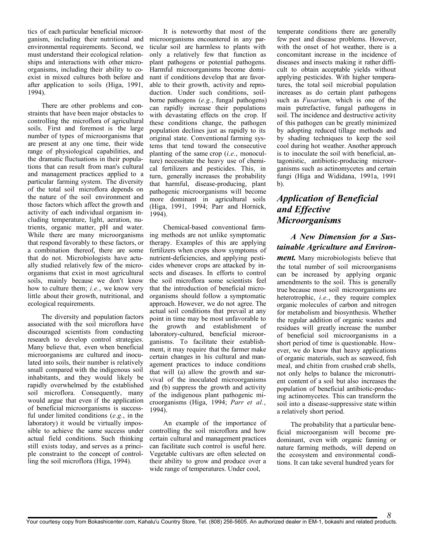tics of each particular beneficial microorganism, including their nutritional and environmental requirements. Second, we must understand their ecological relationships and interactions with other microorganisms, including their ability to coexist in mixed cultures both before and after application to soils (Higa, 1991, 1994).

There are other problems and constraints that have been major obstacles to controlling the microflora of agricultural soils. First and foremost is the large number of types of microorganisms that are present at any one time, their wide range of physiological capabilities, and the dramatic fluctuations in their populations that can result from man's cultural and management practices applied to a particular farming system. The diversity of the total soil microflora depends on the nature of the soil environment and those factors which affect the growth and activity of each individual organism including temperature, light, aeration, nutrients, organic matter, pH and water. While there are many microorganisms that respond favorably to these factors, or a combination thereof, there are some that do not. Microbiologists have actually studied relatively few of the microorganisms that exist in most agricultural soils, mainly because we don't know how to culture them; *i.e.*, we know very little about their growth, nutritional, and ecological requirements.

The diversity and population factors associated with the soil microflora have discouraged scientists from conducting research to develop control strategies. Many believe that, even when beneficial microorganisms are cultured and inoculated into soils, their number is relatively small compared with the indigenous soil inhabitants, and they would likely be rapidly overwhelmed by the established soil microflora. Consequently, many would argue that even if the application of beneficial microorganisms is successful under limited conditions (*e.g.*, in the laboratory) it would be virtually impossible to achieve the same success under actual field conditions. Such thinking still exists today, and serves as a principle constraint to the concept of controlling the soil microflora (Higa, 1994).

It is noteworthy that most of the microorganisms encountered in any particular soil are harmless to plants with only a relatively few that function as plant pathogens or potential pathogens. Harmful microorganisms become dominant if conditions develop that are favorable to their growth, activity and reproduction. Under such conditions, soilborne pathogens (*e.g.*, fungal pathogens) can rapidly increase their populations with devastating effects on the crop. If these conditions change, the pathogen population declines just as rapidly to its original state. Conventional farming systems that tend toward the consecutive planting of the same crop (*i.e.*, monoculture) necessitate the heavy use of chemical fertilizers and pesticides. This, in turn, generally increases the probability that harmful, disease-producing, plant pathogenic microorganisms will become more dominant in agricultural soils (Higa, 1991, 1994; Parr and Hornick, 1994).

Chemical-based conventional farming methods are not unlike symptomatic therapy. Examples of this are applying fertilizers when crops show symptoms of nutrient-deficiencies, and applying pesticides whenever crops are attacked by insects and diseases. In efforts to control the soil microflora some scientists feel that the introduction of beneficial microorganisms should follow a symptomatic approach. However, we do not agree. The actual soil conditions that prevail at any point in time may be most unfavorable to the growth and establishment of laboratory-cultured, beneficial microorganisms. To facilitate their establishment, it may require that the farmer make certain changes in his cultural and management practices to induce conditions that will (a) allow the growth and survival of the inoculated microorganisms and (b) suppress the growth and activity of the indigenous plant pathogenic microorganisms (Higa, 1994; *Parr et al.*, 1994).

An example of the importance of controlling the soil microflora and how certain cultural and management practices can facilitate such control is useful here. Vegetable cultivars are often selected on their ability to grow and produce over a wide range of temperatures. Under cool,

temperate conditions there are generally few pest and disease problems. However, with the onset of hot weather, there is a concomitant increase in the incidence of diseases and insects making it rather difficult to obtain acceptable yields without applying pesticides. With higher temperatures, the total soil microbial population increases as do certain plant pathogens such as *Fusarium,* which is one of the main putrefactive, fungal pathogens in soil. The incidence and destructive activity of this pathogen can be greatly minimized by adopting reduced tillage methods and by shading techniques to keep the soil cool during hot weather. Another approach is to inoculate the soil with beneficial, antagonistic, antibiotic-producing microorganisms such as actinomycetes and certain fungi (Higa and Wididana, 1991a, 1991 b).

#### *Application of Beneficial and Effective Microorganisms*

#### *A New Dimension for a Sustainable Agriculture and Environ-*

*ment.* Many microbiologists believe that the total number of soil microorganisms can be increased by applying organic amendments to the soil. This is generally true because most soil microorganisms are heterotrophic, *i.e.*, they require complex organic molecules of carbon and nitrogen for metabolism and biosynthesis. Whether the regular addition of organic wastes and residues will greatly increase the number of beneficial soil microorganisms in a short period of time is questionable. However, we do know that heavy applications of organic materials, such as seaweed, fish meal, and chitin from crushed crab shells, not only helps to balance the micronutrient content of a soil but also increases the population of beneficial antibiotic-producing actinomycetes. This can transform the soil into a disease-suppressive state within a relatively short period.

The probability that a particular beneficial microorganism will become predominant, even with organic fanning or nature farming methods, will depend on the ecosystem and environmental conditions. It can take several hundred years for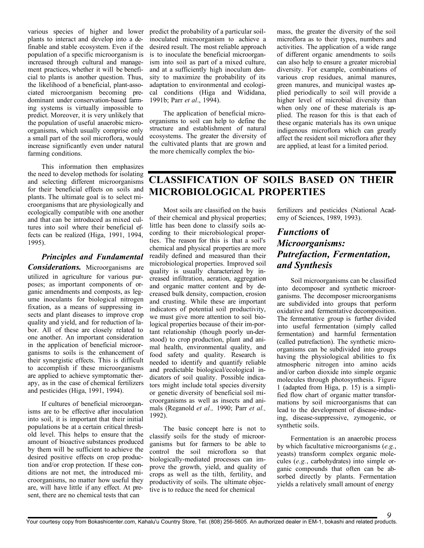various species of higher and lower predict the probability of a particular soilplants to interact and develop into a definable and stable ecosystem. Even if the population of a specific microorganism is increased through cultural and management practices, whether it will be beneficial to plants is another question. Thus, the likelihood of a beneficial, plant-associated microorganism becoming predominant under conservation-based farming systems is virtually impossible to predict. Moreover, it is very unlikely that the population of useful anaerobic microorganisms, which usually comprise only a small part of the soil microflora, would increase significantly even under natural farming conditions.

This information then emphasizes the need to develop methods for isolating and selecting different microorganisms for their beneficial effects on soils and plants. The ultimate goal is to select microorganisms that are physiologically and ecologically compatible with one another and that can be introduced as mixed cultures into soil where their beneficial effects can be realized (Higa, 1991, 1994, 1995).

#### *Principles and Fundamental*

*Considerations.* Microorganisms are utilized in agriculture for various purposes; as important components of organic amendments and composts, as legume inoculants for biological nitrogen fixation, as a means of suppressing insects and plant diseases to improve crop quality and yield, and for reduction of labor. All of these are closely related to one another. An important consideration in the application of beneficial microorganisms to soils is the enhancement of their synergistic effects. This is difficult to accomplish if these microorganisms are applied to achieve symptomatic therapy, as in the case of chemical fertilizers and pesticides (Higa, 1991, 1994).

If cultures of beneficial microorganisms are to be effective after inoculation into soil, it is important that their initial populations be at a certain critical threshold level. This helps to ensure that the amount of bioactive substances produced by them will be sufficient to achieve the desired positive effects on crop production and/or crop protection. If these conditions are not met, the introduced microorganisms, no matter how useful they are, will have little if any effect. At present, there are no chemical tests that can

inoculated microorganism to achieve a desired result. The most reliable approach is to inoculate the beneficial microorganism into soil as part of a mixed culture, and at a sufficiently high inoculum density to maximize the probability of its adaptation to environmental and ecological conditions (Higa and Wididana, 1991b; Parr *et al*., 1994).

The application of beneficial microorganisms to soil can help to define the structure and establishment of natural ecosystems. The greater the diversity of the cultivated plants that are grown and the more chemically complex the biomass, the greater the diversity of the soil microflora as to their types, numbers and activities. The application of a wide range of different organic amendments to soils can also help to ensure a greater microbial diversity. For example, combinations of various crop residues, animal manures, green manures, and municipal wastes applied periodically to soil will provide a higher level of microbial diversity than when only one of these materials is applied. The reason for this is that each of these organic materials has its own unique indigenous microflora which can greatly affect the resident soil microflora after they are applied, at least for a limited period.

## CLASSIFICATION OF SOILS BASED ON THEIR MICROBIOLOGICAL PROPERTIES

Most soils are classified on the basis of their chemical and physical properties; little has been done to classify soils according to their microbiological properties. The reason for this is that a soil's chemical and physical properties are more readily defined and measured than their microbiological properties. Improved soil quality is usually characterized by increased infiltration, aeration, aggregation and organic matter content and by decreased bulk density, compaction, erosion and crusting. While these are important indicators of potential soil productivity, we must give more attention to soil biological properties because of their im-portant relationship (though poorly un-derstood) to crop production, plant and animal health, environmental quality, and food safety and quality. Research is needed to identify and quantify reliable and predictable biological/ecological indicators of soil quality. Possible indicators might include total species diversity or genetic diversity of beneficial soil microorganisms as well as insects and animals (Reganold *et al.,* 1990; Parr *et al.,*  1992).

The basic concept here is not to classify soils for the study of microorganisms but for farmers to be able to control the soil microflora so that biologically-mediated processes can improve the growth, yield, and quality of crops as well as the tilth, fertility, and productivity of soils. The ultimate objective is to reduce the need for chemical

fertilizers and pesticides (National Academy of Sciences, 1989, 1993).

#### *Functions* of *Microorganisms: Putrefaction, Fermentation, and Synthesis*

Soil microorganisms can be classified into decomposer and synthetic microorganisms. The decomposer microorganisms are subdivided into groups that perform oxidative and fermentative decomposition. The fermentative group is further divided into useful fermentation (simply called fermentation) and harmful fermentation (called putrefaction). The synthetic microorganisms can be subdivided into groups having the physiological abilities to fix atmospheric nitrogen into amino acids and/or carbon dioxide into simple organic molecules through photosynthesis. Figure 1 (adapted from Higa, p. 15) is a simplified flow chart of organic matter transformations by soil microorganisms that can lead to the development of disease-inducing, disease-suppressive, zymogenic, or synthetic soils.

Fermentation is an anaerobic process by which facultative microorganisms (*e.g.*, yeasts) transform complex organic molecules (*e.g.*, carbohydrates) into simple organic compounds that often can be absorbed directly by plants. Fermentation yields a relatively small amount of energy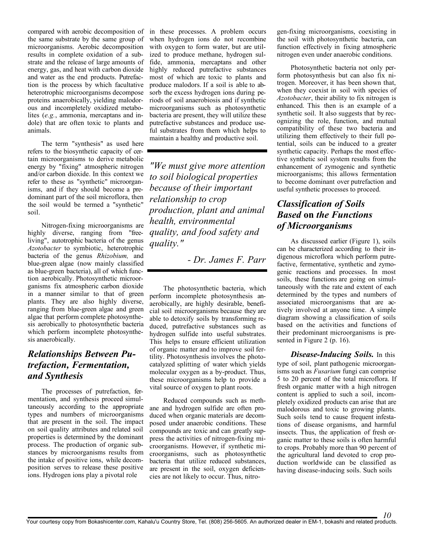the same substrate by the same group of microorganisms. Aerobic decomposition results in complete oxidation of a substrate and the release of large amounts of energy, gas, and heat with carbon dioxide and water as the end products. Putrefaction is the process by which facultative heterotrophic microorganisms decompose proteins anaerobically, yielding malodorous and incompletely oxidized metabolites (*e.g.*, ammonia, mercaptans and indole) that are often toxic to plants and animals.

The term "synthesis" as used here refers to the biosynthetic capacity of certain microorganisms to derive metabolic energy by "fixing" atmospheric nitrogen and/or carbon dioxide. In this context we refer to these as "synthetic" microorganisms, and if they should become a predominant part of the soil microflora, then the soil would be termed a "synthetic" soil.

Nitrogen-fixing microorganisms are highly diverse, ranging from "freeliving", autotrophic bacteria of the genus *Azotobacter* to symbiotic, heterotrophic bacteria of the genus *Rhizobium,* and blue-green algae (now mainly classified as blue-green bacteria), all of which function aerobically. Photosynthetic microorganisms fix atmospheric carbon dioxide in a manner similar to that of green plants. They are also highly diverse, ranging from blue-green algae and green algae that perform complete photosynthesis aerobically to photosynthetic bacteria which perform incomplete photosynthesis anaerobically.

#### *Relationships Between Putrefaction, Fermentation, and Synthesis*

The processes of putrefaction, fermentation, and synthesis proceed simultaneously according to the appropriate types and numbers of microorganisms that are present in the soil. The impact on soil quality attributes and related soil properties is determined by the dominant process. The production of organic substances by microorganisms results from the intake of positive ions, while decomposition serves to release these positive ions. Hydrogen ions play a pivotal role

compared with aerobic decomposition of in these processes. A problem occurs when hydrogen ions do not recombine with oxygen to form water, but are utilized to produce methane, hydrogen sulfide, ammonia, mercaptans and other highly reduced putrefactive substances most of which are toxic to plants and produce malodors. If a soil is able to absorb the excess hydrogen ions during periods of soil anaerobiosis and if synthetic microorganisms such as photosynthetic bacteria are present, they will utilize these putrefactive substances and produce useful substrates from them which helps to maintain a healthy and productive soil.

> *"We must give more attention to soil biological properties because of their important relationship to crop production, plant and animal health, environmental quality, and food safety and quality."*

> > *- Dr. James F. Parr*

The photosynthetic bacteria, which perform incomplete photosynthesis anaerobically, are highly desirable, beneficial soil microorganisms because they are able to detoxify soils by transforming reduced, putrefactive substances such as hydrogen sulfide into useful substrates. This helps to ensure efficient utilization of organic matter and to improve soil fertility. Photosynthesis involves the photocatalyzed splitting of water which yields molecular oxygen as a by-product. Thus, these microorganisms help to provide a vital source of oxygen to plant roots.

Reduced compounds such as methane and hydrogen sulfide are often produced when organic materials are decomposed under anaerobic conditions. These compounds are toxic and can greatly suppress the activities of nitrogen-fixing microorganisms. However, if synthetic microorganisms, such as photosynthetic bacteria that utilize reduced substances, are present in the soil, oxygen deficiencies are not likely to occur. Thus, nitrogen-fixing microorganisms, coexisting in the soil with photosynthetic bacteria, can function effectively in fixing atmospheric nitrogen even under anaerobic conditions.

Photosynthetic bacteria not only perform photosynthesis but can also fix nitrogen. Moreover, it has been shown that, when they coexist in soil with species of *Azotobacter*, their ability to fix nitrogen is enhanced. This then is an example of a synthetic soil. It also suggests that by recognizing the role, function, and mutual compatibility of these two bacteria and utilizing them effectively to their full potential, soils can be induced to a greater synthetic capacity. Perhaps the most effective synthetic soil system results from the enhancement of zymogenic and synthetic microorganisms; this allows fermentation to become dominant over putrefaction and useful synthetic processes to proceed.

#### *Classification of Soils Based* on *the Functions of Microorganisms*

As discussed earlier (Figure 1), soils can be characterized according to their indigenous microflora which perform putrefactive, fermentative, synthetic and zymogenic reactions and processes. In most soils, these functions are going on simultaneously with the rate and extent of each determined by the types and numbers of associated microorganisms that are actively involved at anyone time. A simple diagram showing a classification of soils based on the activities and functions of their predominant microorganisms is presented in Figure 2 (p. 16).

*Disease-Inducing Soils.* In this type of soil, plant pathogenic microorganisms such as *Fusarium* fungi can comprise 5 to 20 percent of the total microflora. If fresh organic matter with a high nitrogen content is applied to such a soil, incompletely oxidized products can arise that are malodorous and toxic to growing plants. Such soils tend to cause frequent infestations of disease organisms, and harmful insects. Thus, the application of fresh organic matter to these soils is often harmful to crops. Probably more than 90 percent of the agricultural land devoted to crop production worldwide can be classified as having disease-inducing soils. Such soils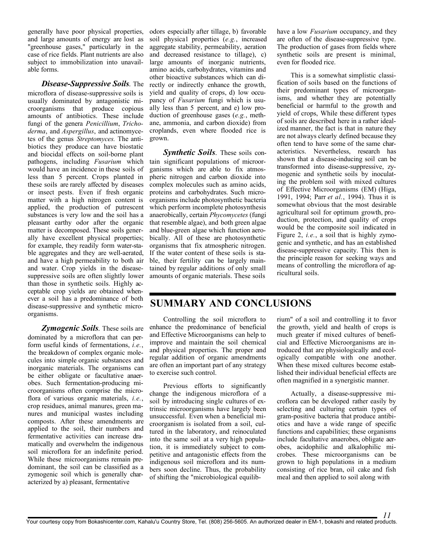generally have poor physical properties, and large amounts of energy are lost as "greenhouse gases," particularly in the case of rice fields. Plant nutrients are also subject to immobilization into unavailable forms.

#### *Disease-Suppressive Soils.* The

microflora of disease-suppressive soils is usually dominated by antagonistic microorganisms that produce copious amounts of antibiotics. These include fungi of the genera *Penicillium*, *Trichoderma*, and *Aspergillus*, and actinomycetes of the genus *Streptomyces.* The antibiotics they produce can have biostatic and biocidal effects on soil-borne plant pathogens, including *Fusarium* which would have an incidence in these soils of less than 5 percent. Crops planted in these soils are rarely affected by diseases or insect pests. Even if fresh organic matter with a high nitrogen content is applied, the production of putrescent substances is very low and the soil has a pleasant earthy odor after the organic matter is decomposed. These soils generally have excellent physical properties; for example, they readily form water-stable aggregates and they are well-aerated, and have a high permeability to both air and water. Crop yields in the diseasesuppressive soils are often slightly lower than those in synthetic soils. Highly acceptable crop yields are obtained whenever a soil has a predominance of both disease-suppressive and synthetic microorganisms.

*Zymogenic Soils.* These soils are dominated by a microflora that can perform useful kinds of fermentations, *i.e.*, the breakdown of complex organic molecules into simple organic substances and inorganic materials. The organisms can be either obligate or facultative anaerobes. Such fermentation-producing microorganisms often comprise the microflora of various organic materials, *i.e.*, crop residues, animal manures, green manures and municipal wastes including composts. After these amendments are applied to the soil, their numbers and fermentative activities can increase dramatically and overwhelm the indigenous soil microflora for an indefinite period. While these microorganisms remain predominant, the soil can be classified as a zymogenic soil which is generally characterized by a) pleasant, fermentative

odors especially after tillage, b) favorable soil physica1 properties (*e.g.*, increased aggregate stability, permeability, aeration and decreased resistance to tillage), c) large amounts of inorganic nutrients, amino acids, carbohydrates, vitamins and other bioactive substances which can directly or indirectly enhance the growth, yield and quality of crops, d) low occupancy of *Fusarium* fungi which is usually less than 5 percent, and e) low production of greenhouse gases (*e.g.*, methane, ammonia, and carbon dioxide) from croplands, even where flooded rice is grown.

*Synthetic Soils.* These soils contain significant populations of microorganisms which are able to fix atmospheric nitrogen and carbon dioxide into complex molecules such as amino acids, proteins and carbohydrates. Such microorganisms include photosynthetic bacteria which perform incomplete photosynthesis anaerobically, certain *Phycomycetes* (fungi that resemble algae), and both green algae and blue-green algae which function aerobically. All of these are photosynthetic organisms that fix atmospheric nitrogen. If the water content of these soils is stable, their fertility can be largely maintained by regular additions of only small amounts of organic materials. These soils

have a low *Fusarium* occupancy, and they are often of the disease-suppressive type. The production of gases from fields where synthetic soils are present is minimal, even for flooded rice.

This is a somewhat simplistic classification of soils based on the functions of their predominant types of microorganisms, and whether they are potentially beneficial or harmful to the growth and yield of crops, While these different types of soils are described here in a rather idealized manner, the fact is that in nature they are not always clearly defined because they often tend to have some of the same characteristics. Nevertheless, research has shown that a disease-inducing soil can be transformed into disease-suppressive, zymogenic and synthetic soils by inoculating the problem soil with mixed cultures of Effective Microorganisms (EM) (Higa, 1991, 1994; Parr *et al.*, 1994). Thus it is somewhat obvious that the most desirable agricultural soil for optimum growth, production, protection, and quality of crops would be the composite soil indicated in Figure 2, *i.e.*, a soil that is highly zymogenic and synthetic, and has an established disease-suppressive capacity. This then is the principle reason for seeking ways and means of controlling the microflora of agricultural soils.

#### SUMMARY AND CONCLUSIONS

Controlling the soil microflora to enhance the predominance of beneficial and Effective Microorganisms can help to improve and maintain the soil chemical and physical properties. The proper and regular addition of organic amendments are often an important part of any strategy to exercise such control.

Previous efforts to significantly change the indigenous microflora of a soil by introducing single cultures of extrinsic microorganisms have largely been unsuccessful. Even when a beneficial microorganism is isolated from a soil, cultured in the laboratory, and reinoculated into the same soil at a very high population, it is immediately subject to competitive and antagonistic effects from the indigenous soil microflora and its numbers soon decline. Thus, the probability of shifting the "microbiological equilibrium" of a soil and controlling it to favor the growth, yield and health of crops is much greater if mixed cultures of beneficial and Effective Microorganisms are introduced that are physiologically and ecologically compatible with one another. When these mixed cultures become established their individual beneficial effects are often magnified in a synergistic manner.

Actually, a disease-suppressive microflora can be developed rather easily by selecting and culturing certain types of gram-positive bacteria that produce antibiotics and have a wide range of specific functions and capabilities; these organisms include facultative anaerobes, obligate aerobes, acidophilic and alkalophilic microbes. These microorganisms can be grown to high populations in a medium consisting of rice bran, oil cake and fish meal and then applied to soil along with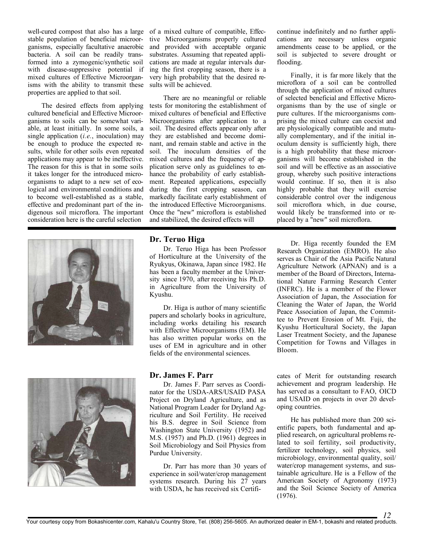well-cured compost that also has a large of a mixed culture of compatible, Effecstable population of beneficial microorganisms, especially facultative anaerobic bacteria. A soil can be readily transformed into a zymogenic/synthetic soil with disease-suppressive potential if mixed cultures of Effective Microorganisms with the ability to transmit these properties are applied to that soil.

The desired effects from applying cultured beneficial and Effective Microorganisms to soils can be somewhat variable, at least initially. In some soils, a single application (*i.e.*, inoculation) may be enough to produce the expected results, while for other soils even repeated applications may appear to be ineffective. The reason for this is that in some soils it takes longer for the introduced microorganisms to adapt to a new set of ecological and environmental conditions and to become well-established as a stable, effective and predominant part of the indigenous soil microflora. The important consideration here is the careful selection



tive Microorganisms properly cultured and provided with acceptable organic substrates. Assuming that repeated applications are made at regular intervals during the first cropping season, there is a very high probability that the desired results will be achieved.

There are no meaningful or reliable tests for monitoring the establishment of mixed cultures of beneficial and Effective Microorganisms after application to a soil. The desired effects appear only after they are established and become dominant, and remain stable and active in the soil. The inoculum densities of the mixed cultures and the frequency of application serve only as guidelines to enhance the probability of early establishment. Repeated applications, especially during the first cropping season, can markedly facilitate early establishment of the introduced Effective Microorganisms. Once the "new" microflora is established and stabilized, the desired effects will

#### Dr. Teruo Higa

Dr. Teruo Higa has been Professor of Horticulture at the University of the Ryukyus, Okinawa, Japan since 1982. He has been a faculty member at the University since 1970, after receiving his Ph.D. in Agriculture from the University of Kyushu.

Dr. Higa is author of many scientific papers and scholarly books in agriculture, including works detailing his research with Effective Microorganisms (EM). He has also written popular works on the uses of EM in agriculture and in other fields of the environmental sciences.

#### Dr. James F. Parr

Dr. James F. Parr serves as Coordinator for the USDA-ARS/USAID PASA Project on Dryland Agriculture, and as National Program Leader for Dryland Agriculture and Soil Fertility. He received his B.S. degree in Soil Science from Washington State University (1952) and M.S. (1957) and Ph.D. (1961) degrees in Soil Microbiology and Soil Physics from Purdue University.

Dr. Parr has more than 30 years of experience in soil/water/crop management systems research. During his 27 years with USDA, he has received six Certificontinue indefinitely and no further applications are necessary unless organic amendments cease to be applied, or the soil is subjected to severe drought or flooding.

Finally, it is far more likely that the microflora of a soil can be controlled through the application of mixed cultures of selected beneficial and Effective Microorganisms than by the use of single or pure cultures. If the microorganisms comprising the mixed culture can coexist and are physiologically compatible and mutually complementary, and if the initial inoculum density is sufficiently high, there is a high probability that these microorganisms will become established in the soil and will be effective as an associative group, whereby such positive interactions would continue. If so, then it is also highly probable that they will exercise considerable control over the indigenous soil microflora which, in due course, would likely be transformed into or replaced by a "new" soil microflora.

Dr. Higa recently founded the EM Research Organization (EMRO). He also serves as Chair of the Asia Pacific Natural Agriculture Network (APNAN) and is a member of the Board of Directors, International Nature Farming Research Center (INFRC). He is a member of the Flower Association of Japan, the Association for Cleaning the Water of Japan, the World Peace Association of Japan, the Committee to Prevent Erosion of Mt. Fuji, the Kyushu Horticultural Society, the Japan Laser Treatment Society, and the Japanese Competition for Towns and Villages in Bloom.

cates of Merit for outstanding research achievement and program leadership. He has served as a consultant to FAO, OICD and USAID on projects in over 20 developing countries.

He has published more than 200 scientific papers, both fundamental and applied research, on agricultural problems related to soil fertility, soil productivity, fertilizer technology, soil physics, soil microbiology, environmental quality, soil/ water/crop management systems, and sustainable agriculture. He is a Fellow of the American Society of Agronomy (1973) and the Soil Science Society of America (1976).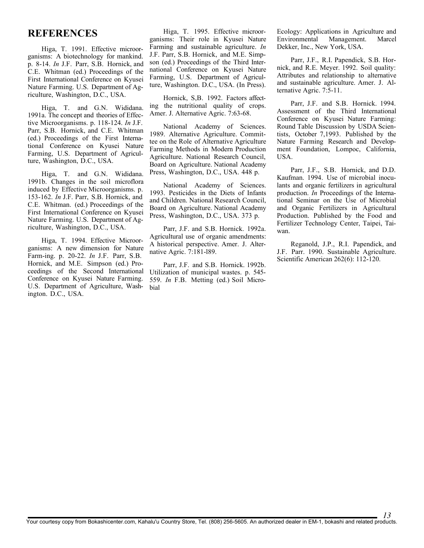#### REFERENCES

Higa, T. 1991. Effective microorganisms: A biotechnology for mankind. p. 8-14. *In* J.F. Parr, S.B. Hornick, and C.E. Whitman (ed.) Proceedings of the First International Conference on Kyusei Nature Farming. U.S. Department of Agriculture, Washington, D.C., USA.

Higa, T. and G.N. Wididana. 1991a. The concept and theories of Effective Microorganisms. p. 118-124. *In* J.F. Parr, S.B. Hornick, and C.E. Whitman (ed.) Proceedings of the First International Conference on Kyusei Nature Farming, U.S. Department of Agriculture, Washington, D.C., USA.

Higa, T. and G.N. Wididana. 1991b. Changes in the soil microflora induced by Effective Microorganisms. p. 153-162. *In* J.F. Parr, S.B. Hornick, and C.E. Whitman. (ed.) Proceedings of the First International Conference on Kyusei Nature Farming. U.S. Department of Agriculture, Washington, D.C., USA.

Higa, T. 1994. Effective Microorganisms: A new dimension for Nature Farm-ing. p. 20-22. *In* J.F. Parr, S.B. Hornick, and M.E. Simpson (ed.) Proceedings of the Second International Utilization of municipal wastes. p. 545- Conference on Kyusei Nature Farming. U.S. Department of Agriculture, Washington. D.C., USA.

Higa, T. 1995. Effective microorganisms: Their role in Kyusei Nature Farming and sustainable agriculture. *In*  J.F. Parr, S.B. Hornick, and M.E. Simpson (ed.) Proceedings of the Third International Conference on Kyusei Nature Farming, U.S. Department of Agriculture, Washington. D.C., USA. (In Press).

Hornick, S,B. 1992. Factors affecting the nutritional quality of crops. Amer. J. Alternative Agric. 7:63-68.

National Academy of Sciences. 1989. Alternative Agriculture. Committee on the Role of Alternative Agriculture Farming Methods in Modern Production Agriculture. National Research Council, Board on Agriculture. National Academy Press, Washington, D.C., USA. 448 p.

National Academy of Sciences. 1993. Pesticides in the Diets of Infants and Children. National Research Council, Board on Agriculture. National Academy Press, Washington, D.C., USA. 373 p.

Parr, J.F. and S.B. Hornick. 1992a. Agricultural use of organic amendments: A historical perspective. Amer. J. Alternative Agric. 7:181-l89.

Parr, J.F. and S.B. Hornick. 1992b. 559. *In* F.B. Metting (ed.) Soil Microbial

Ecology: Applications in Agriculture and Environmental Management. Marcel Dekker, Inc., New York, USA.

Parr, J.F., R.I. Papendick, S.B. Hornick, and R.E. Meyer. 1992. Soil quality: Attributes and relationship to alternative and sustainable agriculture. Amer. J. Alternative Agric. 7:5-11.

Parr, J.F. and S.B. Hornick. 1994. Assessment of the Third International Conference on Kyusei Nature Farming: Round Table Discussion by USDA Scientists, October 7,1993. Published by the Nature Farming Research and Development Foundation, Lompoc, California, USA.

Parr, J.F., S.B. Hornick, and D.D. Kaufman. 1994. Use of microbial inoculants and organic fertilizers in agricultural production. *In* Proceedings of the International Seminar on the Use of Microbial and Organic Fertilizers in Agricultural Production. Published by the Food and Fertilizer Technology Center, Taipei, Taiwan.

Reganold, J.P., R.I. Papendick, and J.F. Parr. 1990. Sustainable Agriculture. Scientific American 262(6): 112-120.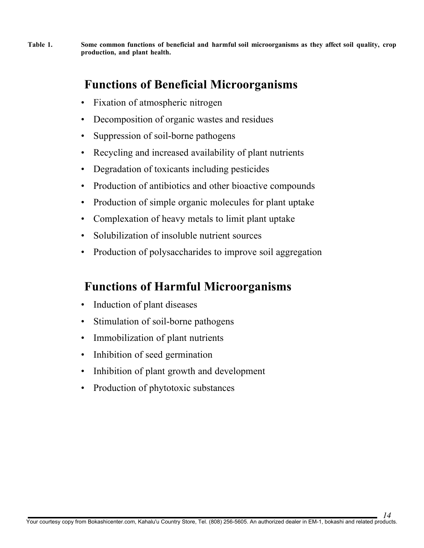Table 1. Some common functions of beneficial and harmful soil microorganisms as they affect soil quality, crop production, and plant health.

# Functions of Beneficial Microorganisms

- Fixation of atmospheric nitrogen
- Decomposition of organic wastes and residues
- Suppression of soil-borne pathogens
- Recycling and increased availability of plant nutrients
- Degradation of toxicants including pesticides
- Production of antibiotics and other bioactive compounds
- Production of simple organic molecules for plant uptake
- Complexation of heavy metals to limit plant uptake
- Solubilization of insoluble nutrient sources
- Production of polysaccharides to improve soil aggregation

# Functions of Harmful Microorganisms

- Induction of plant diseases
- Stimulation of soil-borne pathogens
- Immobilization of plant nutrients
- Inhibition of seed germination
- Inhibition of plant growth and development
- Production of phytotoxic substances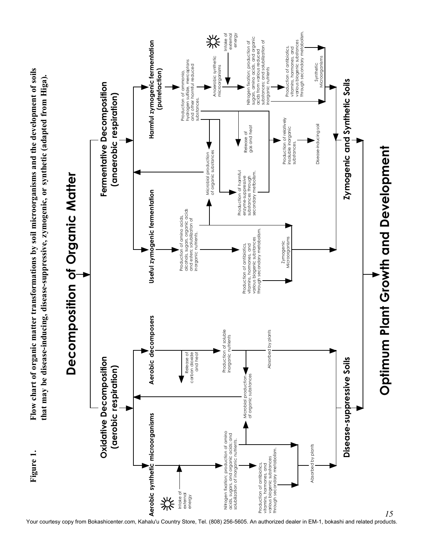

Your courtesy copy from Bokashicenter.com, Kahalu'u Country Store, Tel. (808) 256-5605. An authorized dealer in EM-1, bokashi and related products.